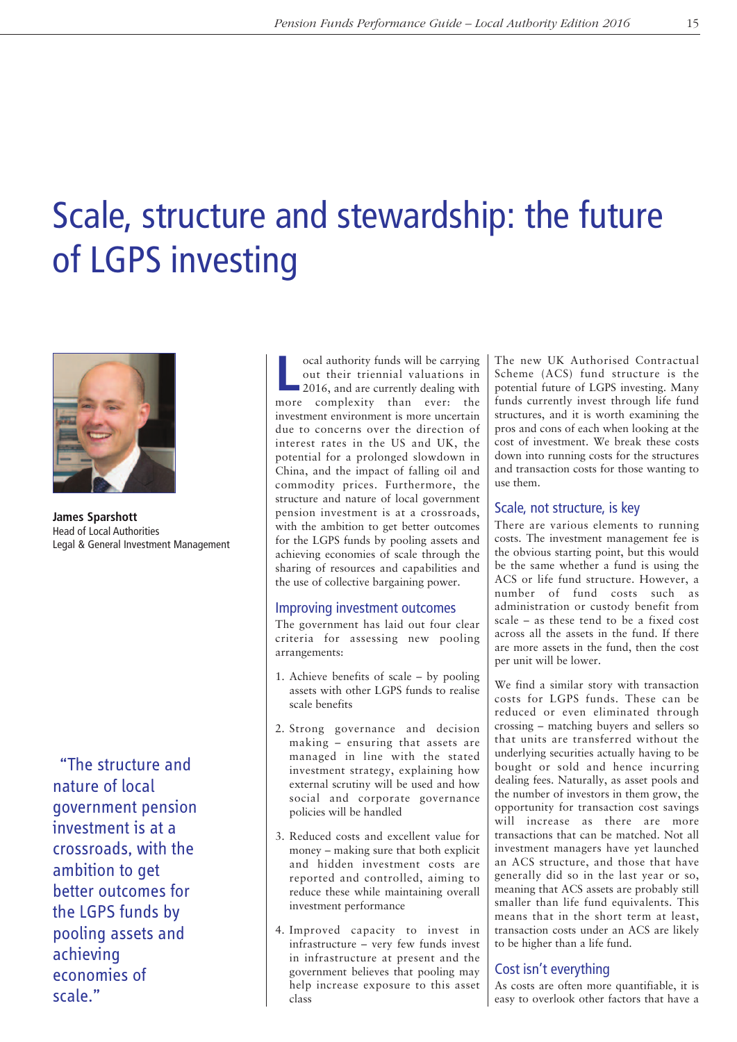# Scale, structure and stewardship: the future of LGPS investing



**James Sparshott** Head of Local Authorities Legal & General Investment Management

"The structure and nature of local government pension investment is at a crossroads, with the ambition to get better outcomes for the LGPS funds by pooling assets and achieving economies of scale."

**L** ocal authority funds will be carrying<br>
2016, and are currently dealing with<br>
2016, and are currently dealing with out their triennial valuations in more complexity than ever: the investment environment is more uncertain due to concerns over the direction of interest rates in the US and UK, the potential for a prolonged slowdown in China, and the impact of falling oil and commodity prices. Furthermore, the structure and nature of local government pension investment is at a crossroads, with the ambition to get better outcomes for the LGPS funds by pooling assets and achieving economies of scale through the sharing of resources and capabilities and the use of collective bargaining power.

#### Improving investment outcomes

The government has laid out four clear criteria for assessing new pooling arrangements:

- 1. Achieve benefits of scale by pooling assets with other LGPS funds to realise scale benefits
- 2. Strong governance and decision making – ensuring that assets are managed in line with the stated investment strategy, explaining how external scrutiny will be used and how social and corporate governance policies will be handled
- 3. Reduced costs and excellent value for money – making sure that both explicit and hidden investment costs are reported and controlled, aiming to reduce these while maintaining overall investment performance
- 4. Improved capacity to invest in infrastructure – very few funds invest in infrastructure at present and the government believes that pooling may help increase exposure to this asset class

The new UK Authorised Contractual Scheme (ACS) fund structure is the potential future of LGPS investing. Many funds currently invest through life fund structures, and it is worth examining the pros and cons of each when looking at the cost of investment. We break these costs down into running costs for the structures and transaction costs for those wanting to use them.

### Scale, not structure, is key

There are various elements to running costs. The investment management fee is the obvious starting point, but this would be the same whether a fund is using the ACS or life fund structure. However, a number of fund costs such as administration or custody benefit from scale – as these tend to be a fixed cost across all the assets in the fund. If there are more assets in the fund, then the cost per unit will be lower.

We find a similar story with transaction costs for LGPS funds. These can be reduced or even eliminated through crossing – matching buyers and sellers so that units are transferred without the underlying securities actually having to be bought or sold and hence incurring dealing fees. Naturally, as asset pools and the number of investors in them grow, the opportunity for transaction cost savings will increase as there are more transactions that can be matched. Not all investment managers have yet launched an ACS structure, and those that have generally did so in the last year or so, meaning that ACS assets are probably still smaller than life fund equivalents. This means that in the short term at least, transaction costs under an ACS are likely to be higher than a life fund.

## Cost isn't everything

As costs are often more quantifiable, it is easy to overlook other factors that have a